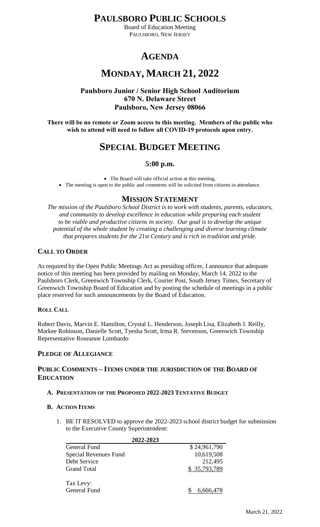**PAULSBORO PUBLIC SCHOOLS**

Board of Education Meeting PAULSBORO, NEW JERSEY

# **AGENDA**

# **MONDAY, MARCH 21, 2022**

## **Paulsboro Junior / Senior High School Auditorium 670 N. Delaware Street Paulsboro, New Jersey 08066**

**There will be no remote or Zoom access to this meeting. Members of the public who wish to attend will need to follow all COVID-19 protocols upon entry.**

## **SPECIAL BUDGET MEETING**

### **5:00 p.m.**

The Board will take official action at this meeting.

• The meeting is open to the public and comments will be solicited from citizens in attendance.

## **MISSION STATEMENT**

*The mission of the Paulsboro School District is to work with students, parents, educators, and community to develop excellence in education while preparing each student to be viable and productive citizens in society. Our goal is to develop the unique potential of the whole student by creating a challenging and diverse learning climate that prepares students for the 21st Century and is rich in tradition and pride.*

## **CALL TO ORDER**

As required by the Open Public Meetings Act as presiding officer, I announce that adequate notice of this meeting has been provided by mailing on Monday, March 14, 2022 to the Paulsboro Clerk, Greenwich Township Clerk, Courier Post, South Jersey Times, Secretary of Greenwich Township Board of Education and by posting the schedule of meetings in a public place reserved for such announcements by the Board of Education.

### **ROLL CALL**

Robert Davis, Marvin E. Hamilton, Crystal L. Henderson, Joseph Lisa, Elizabeth J. Reilly, Markee Robinson, Danielle Scott, Tyesha Scott, Irma R. Stevenson, Greenwich Township Representative Roseanne Lombardo

## **PLEDGE OF ALLEGIANCE**

### **PUBLIC COMMENTS – ITEMS UNDER THE JURISDICTION OF THE BOARD OF EDUCATION**

### **A. PRESENTATION OF THE PROPOSED 2022-2023 TENTATIVE BUDGET**

### **B. ACTION ITEMS**

1. BE IT RESOLVED to approve the 2022-2023 school district budget for submission to the Executive County Superintendent:

| 2022-2023             |              |  |
|-----------------------|--------------|--|
| General Fund          | \$24,961,790 |  |
| Special Revenues Fund | 10,619,508   |  |
| Debt Service          | 212,495      |  |
| Grand Total           | \$35,793,789 |  |
|                       |              |  |
| Tax Levy:             |              |  |
| <b>General Fund</b>   | 6,666,478    |  |